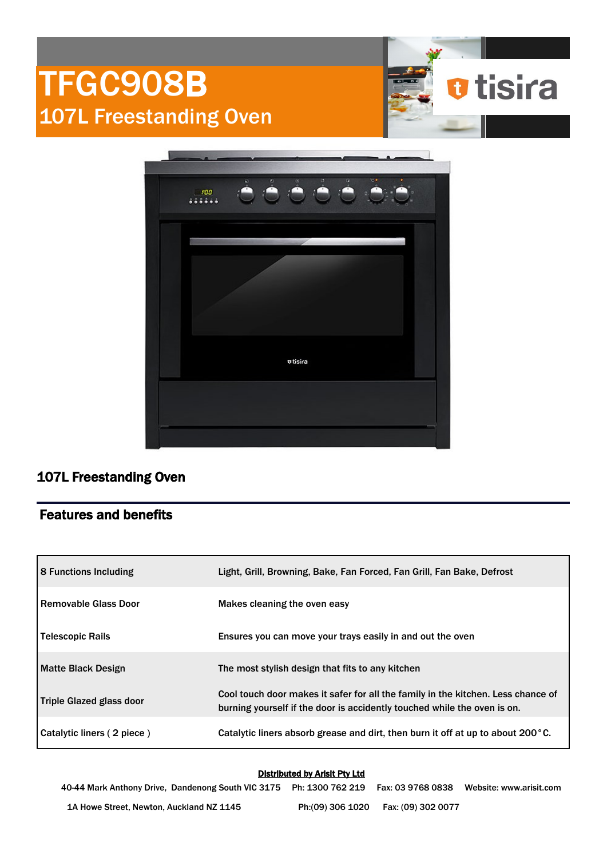# TFGC908B 107L Freestanding Oven



**u**tisira

## 107L Freestanding Oven

## Features and benefits

| <b>8 Functions Including</b> | Light, Grill, Browning, Bake, Fan Forced, Fan Grill, Fan Bake, Defrost                                                                                       |  |
|------------------------------|--------------------------------------------------------------------------------------------------------------------------------------------------------------|--|
| l Removable Glass Door       | Makes cleaning the oven easy                                                                                                                                 |  |
| Telescopic Rails             | Ensures you can move your trays easily in and out the oven                                                                                                   |  |
| <b>Matte Black Design</b>    | The most stylish design that fits to any kitchen                                                                                                             |  |
| Triple Glazed glass door     | Cool touch door makes it safer for all the family in the kitchen. Less chance of<br>burning yourself if the door is accidently touched while the oven is on. |  |
| Catalytic liners (2 piece)   | Catalytic liners absorb grease and dirt, then burn it off at up to about 200 $^{\circ}$ C.                                                                   |  |

#### Distributed by Arisit Pty Ltd

40-44 Mark Anthony Drive, Dandenong South VIC 3175 Ph: 1300 762 219 Fax: 03 9768 0838 Website: www.arisit.com 1A Howe Street, Newton, Auckland NZ 1145 Ph:(09) 306 1020 Fax: (09) 302 0077